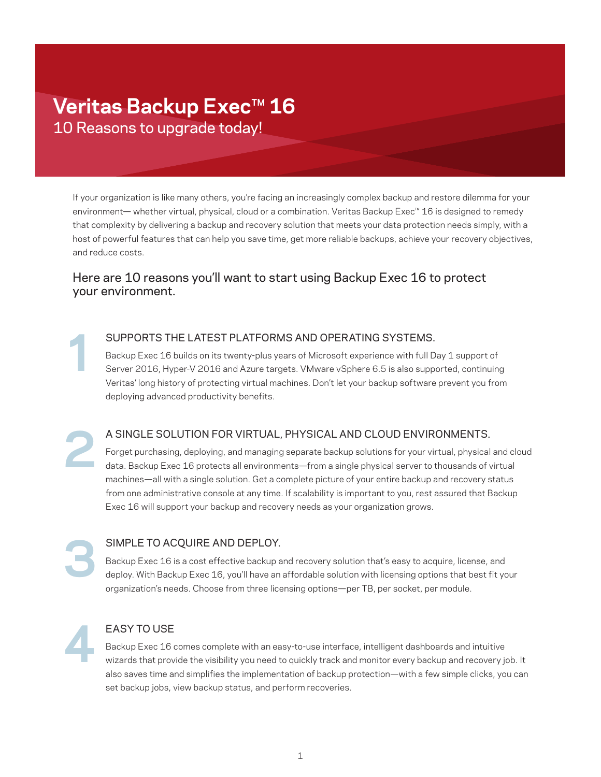# Veritas Backup Exec<sup>™</sup> 16 10 Reasons to upgrade today!

If your organization is like many others, you're facing an increasingly complex backup and restore dilemma for your environment— whether virtual, physical, cloud or a combination. Veritas Backup Exec™ 16 is designed to remedy that complexity by delivering a backup and recovery solution that meets your data protection needs simply, with a host of powerful features that can help you save time, get more reliable backups, achieve your recovery objectives, and reduce costs.

## Here are 10 reasons you'll want to start using Backup Exec 16 to protect your environment.

SUPPORTS THE LATEST PLATFORMS AND OPERATING SYSTEMS. Backup Exec 16 builds on its twenty-plus years of Microsoft experience with full Day 1 support of Server 2016, Hyper-V 2016 and Azure targets. VMware vSphere 6.5 is also supported, continuing Veritas' long history of protecting virtual machines. Don't let your backup software prevent you from deploying advanced productivity benefits.

A SINGLE SOLUTION FOR VIRTUAL, PHYSICAL AND CLOUD ENVIRONMENTS.

Forget purchasing, deploying, and managing separate backup solutions for your virtual, physical and cloud data. Backup Exec 16 protects all environments—from a single physical server to thousands of virtual machines—all with a single solution. Get a complete picture of your entire backup and recovery status from one administrative console at any time. If scalability is important to you, rest assured that Backup Exec 16 will support your backup and recovery needs as your organization grows.

Backup Exec 16 is a cost effective backup and recovery solution that's easy to acquire, license, and deploy. With Backup Exec 16, you'll have an affordable solution with licensing options that best fit your organization's needs. Choose from three licensing options—per TB, per socket, per module.

**4**

**1**

**2**

**3**

### EASY TO USE

SIMPLE TO ACQUIRE AND DEPLOY.

Backup Exec 16 comes complete with an easy-to-use interface, intelligent dashboards and intuitive wizards that provide the visibility you need to quickly track and monitor every backup and recovery job. It also saves time and simplifies the implementation of backup protection—with a few simple clicks, you can set backup jobs, view backup status, and perform recoveries.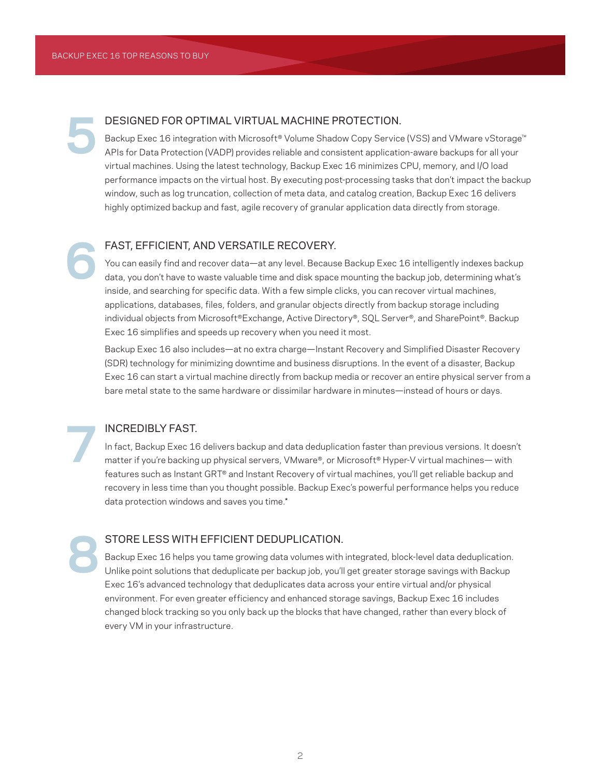**5**

#### DESIGNED FOR OPTIMAL VIRTUAL MACHINE PROTECTION.

Backup Exec 16 integration with Microsoft® Volume Shadow Copy Service (VSS) and VMware vStorage™ APIs for Data Protection (VADP) provides reliable and consistent application-aware backups for all your virtual machines. Using the latest technology, Backup Exec 16 minimizes CPU, memory, and I/O load performance impacts on the virtual host. By executing post-processing tasks that don't impact the backup window, such as log truncation, collection of meta data, and catalog creation, Backup Exec 16 delivers highly optimized backup and fast, agile recovery of granular application data directly from storage.

# FAST, EFFICIENT, AND VERSATILE RECOVERY. **6**

You can easily find and recover data—at any level. Because Backup Exec 16 intelligently indexes backup data, you don't have to waste valuable time and disk space mounting the backup job, determining what's inside, and searching for specific data. With a few simple clicks, you can recover virtual machines, applications, databases, files, folders, and granular objects directly from backup storage including individual objects from Microsoft®Exchange, Active Directory®, SQL Server®, and SharePoint®. Backup Exec 16 simplifies and speeds up recovery when you need it most.

Backup Exec 16 also includes—at no extra charge—Instant Recovery and Simplified Disaster Recovery (SDR) technology for minimizing downtime and business disruptions. In the event of a disaster, Backup Exec 16 can start a virtual machine directly from backup media or recover an entire physical server from a bare metal state to the same hardware or dissimilar hardware in minutes—instead of hours or days.

#### INCREDIBLY FAST.

In fact, Backup Exec 16 delivers backup and data deduplication faster than previous versions. It doesn't matter if you're backing up physical servers, VMware®, or Microsoft® Hyper-V virtual machines— with features such as Instant GRT® and Instant Recovery of virtual machines, you'll get reliable backup and recovery in less time than you thought possible. Backup Exec's powerful performance helps you reduce data protection windows and saves you time.\*

**8**

**7**

#### STORE LESS WITH EFFICIENT DEDUPLICATION.

Backup Exec 16 helps you tame growing data volumes with integrated, block-level data deduplication. Unlike point solutions that deduplicate per backup job, you'll get greater storage savings with Backup Exec 16's advanced technology that deduplicates data across your entire virtual and/or physical environment. For even greater efficiency and enhanced storage savings, Backup Exec 16 includes changed block tracking so you only back up the blocks that have changed, rather than every block of every VM in your infrastructure.